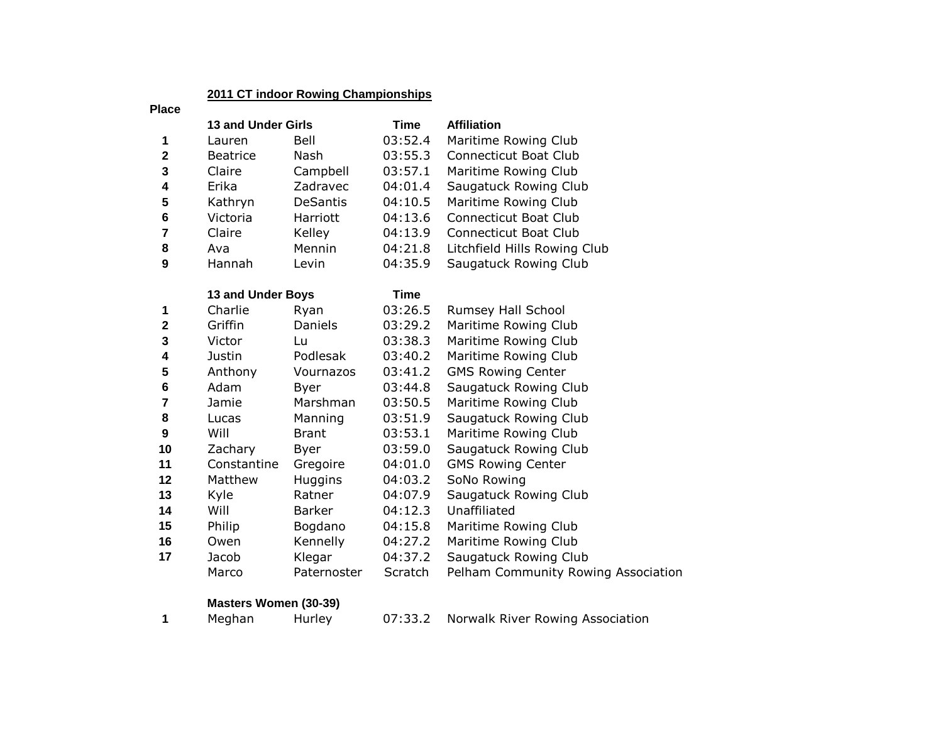## **2011 CT indoor Rowing Championships**

#### **Place**

|              | <b>13 and Under Girls</b> |                 | Time    | <b>Affiliation</b>           |
|--------------|---------------------------|-----------------|---------|------------------------------|
| 1            | Lauren                    | Bell            | 03:52.4 | Maritime Rowing Club         |
| $\mathbf{2}$ | <b>Beatrice</b>           | Nash            | 03:55.3 | <b>Connecticut Boat Club</b> |
| 3            | Claire                    | Campbell        | 03:57.1 | Maritime Rowing Club         |
| 4            | Erika                     | Zadravec        | 04:01.4 | Saugatuck Rowing Club        |
| 5            | Kathryn                   | <b>DeSantis</b> | 04:10.5 | Maritime Rowing Club         |
| 6            | Victoria                  | Harriott        | 04:13.6 | <b>Connecticut Boat Club</b> |
| 7            | Claire                    | Kelley          | 04:13.9 | <b>Connecticut Boat Club</b> |
| 8            | Ava                       | Mennin          | 04:21.8 | Litchfield Hills Rowing Club |
| 9            | Hannah                    | Levin           | 04:35.9 | Saugatuck Rowing Club        |

#### **13 and Under Boys**

|              | 13 and Under Boys |                | Time    |                                     |
|--------------|-------------------|----------------|---------|-------------------------------------|
| $\mathbf 1$  | Charlie           | Ryan           | 03:26.5 | Rumsey Hall School                  |
| $\mathbf{2}$ | Griffin           | Daniels        | 03:29.2 | Maritime Rowing Club                |
| 3            | Victor            | Lu             | 03:38.3 | Maritime Rowing Club                |
| 4            | Justin            | Podlesak       | 03:40.2 | Maritime Rowing Club                |
| 5            | Anthony           | Vournazos      | 03:41.2 | <b>GMS Rowing Center</b>            |
| 6            | Adam              | Byer           | 03:44.8 | Saugatuck Rowing Club               |
| 7            | Jamie             | Marshman       | 03:50.5 | Maritime Rowing Club                |
| 8            | Lucas             | Manning        | 03:51.9 | Saugatuck Rowing Club               |
| 9            | Will              | <b>Brant</b>   | 03:53.1 | Maritime Rowing Club                |
| 10           | Zachary           | Byer           | 03:59.0 | Saugatuck Rowing Club               |
| 11           | Constantine       | Gregoire       | 04:01.0 | <b>GMS Rowing Center</b>            |
| 12           | Matthew           | <b>Huggins</b> | 04:03.2 | SoNo Rowing                         |
| 13           | Kyle              | Ratner         | 04:07.9 | Saugatuck Rowing Club               |
| 14           | Will              | Barker         | 04:12.3 | Unaffiliated                        |
| 15           | Philip            | Bogdano        | 04:15.8 | Maritime Rowing Club                |
| 16           | Owen              | Kennelly       | 04:27.2 | Maritime Rowing Club                |
| 17           | Jacob             | Klegar         | 04:37.2 | Saugatuck Rowing Club               |
|              | Marco             | Paternoster    | Scratch | Pelham Community Rowing Association |

# **Masters Women (30-39)**

Meghan Hurley 07:33.2 Norwalk River Rowing Association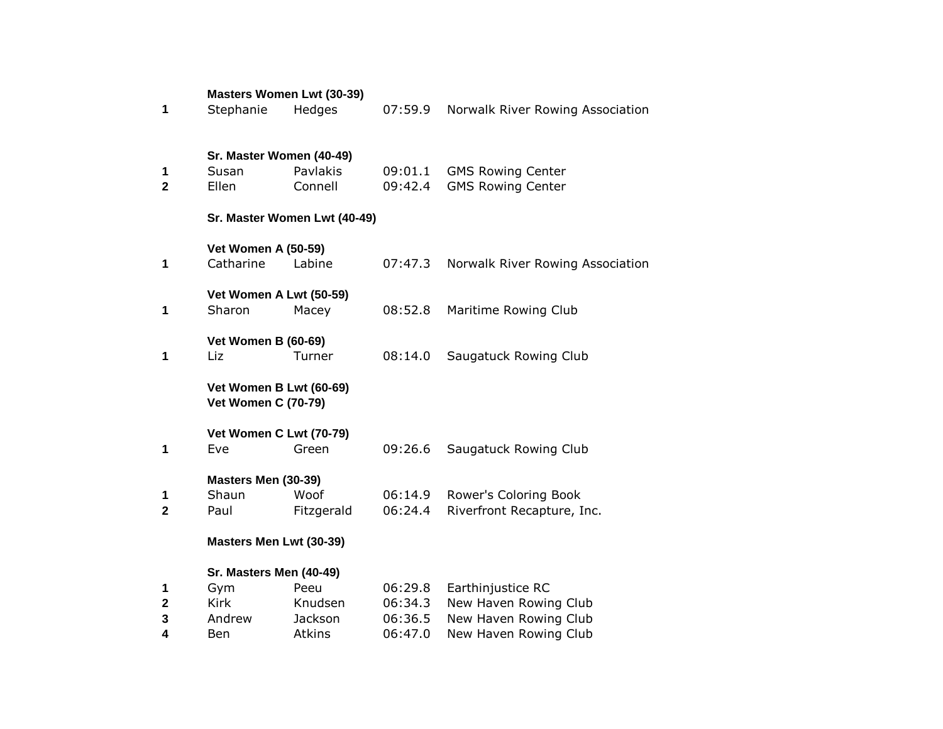|                     |                                                       | <b>Masters Women Lwt (30-39)</b> |                    |                                                      |
|---------------------|-------------------------------------------------------|----------------------------------|--------------------|------------------------------------------------------|
| 1                   | Stephanie                                             | Hedges                           | 07:59.9            | Norwalk River Rowing Association                     |
| 1<br>$\overline{2}$ | Sr. Master Women (40-49)<br>Susan<br>Ellen            | Pavlakis<br>Connell              | 09:01.1<br>09:42.4 | <b>GMS Rowing Center</b><br><b>GMS Rowing Center</b> |
|                     |                                                       | Sr. Master Women Lwt (40-49)     |                    |                                                      |
| 1                   | <b>Vet Women A (50-59)</b><br>Catharine               | Labine                           | 07:47.3            | Norwalk River Rowing Association                     |
| 1                   | Vet Women A Lwt (50-59)<br>Sharon                     | Macey                            | 08:52.8            | Maritime Rowing Club                                 |
| 1                   | <b>Vet Women B (60-69)</b><br>Liz                     | Turner                           | 08:14.0            | Saugatuck Rowing Club                                |
|                     | Vet Women B Lwt (60-69)<br><b>Vet Women C (70-79)</b> |                                  |                    |                                                      |
| 1                   | Vet Women C Lwt (70-79)<br>Eve                        | Green                            | 09:26.6            | Saugatuck Rowing Club                                |
| 1<br>$\overline{2}$ | Masters Men (30-39)<br>Shaun<br>Paul                  | Woof<br>Fitzgerald               | 06:14.9<br>06:24.4 | Rower's Coloring Book<br>Riverfront Recapture, Inc.  |
|                     | Masters Men Lwt (30-39)                               |                                  |                    |                                                      |
| 1                   | Sr. Masters Men (40-49)<br>Gym                        | Peeu                             | 06:29.8            | Earthinjustice RC                                    |
| 2                   | <b>Kirk</b>                                           | Knudsen                          | 06:34.3            | New Haven Rowing Club                                |
| 3                   | Andrew                                                | Jackson                          | 06:36.5            | New Haven Rowing Club                                |
| 4                   | Ben                                                   | Atkins                           | 06:47.0            | New Haven Rowing Club                                |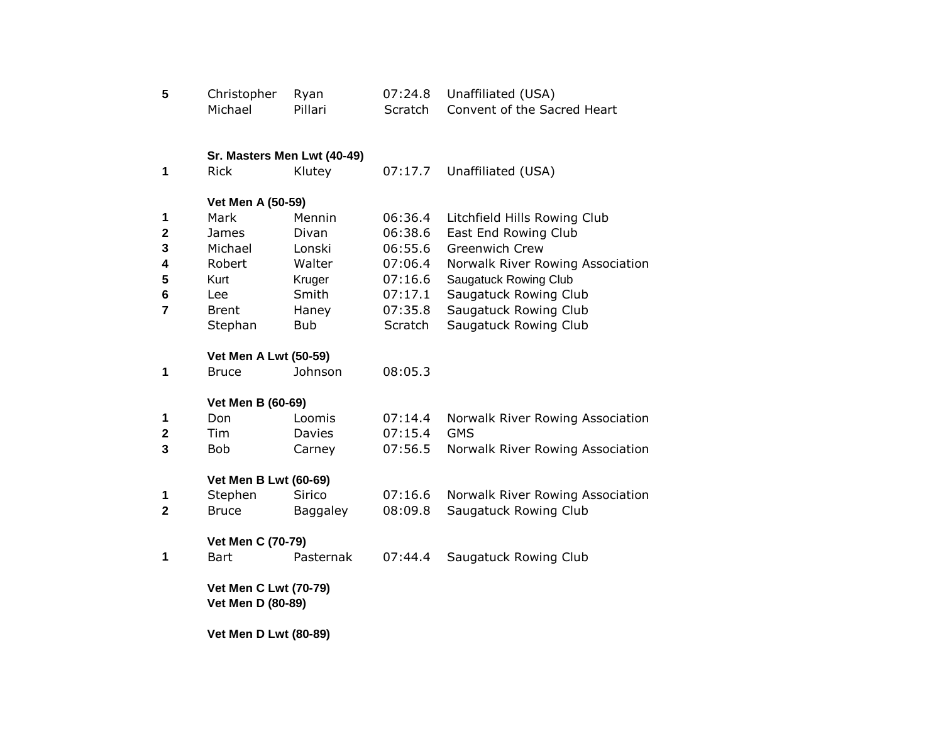| 5              | Christopher                  | Ryan                        | 07:24.8 | Unaffiliated (USA)               |
|----------------|------------------------------|-----------------------------|---------|----------------------------------|
|                | Michael                      | Pillari                     | Scratch | Convent of the Sacred Heart      |
|                |                              |                             |         |                                  |
|                |                              | Sr. Masters Men Lwt (40-49) |         |                                  |
| 1              | <b>Rick</b>                  | Klutey                      | 07:17.7 | Unaffiliated (USA)               |
|                | Vet Men A (50-59)            |                             |         |                                  |
| 1              | Mark                         | Mennin                      | 06:36.4 | Litchfield Hills Rowing Club     |
| $\mathbf 2$    | James                        | Divan                       | 06:38.6 | East End Rowing Club             |
| 3              | Michael                      | Lonski                      | 06:55.6 | <b>Greenwich Crew</b>            |
| 4              | Robert                       | Walter                      | 07:06.4 | Norwalk River Rowing Association |
| 5              | Kurt                         | Kruger                      | 07:16.6 | <b>Saugatuck Rowing Club</b>     |
| 6              | Lee                          | Smith                       | 07:17.1 | Saugatuck Rowing Club            |
| $\overline{7}$ | <b>Brent</b>                 | Haney                       | 07:35.8 | Saugatuck Rowing Club            |
|                | Stephan                      | <b>Bub</b>                  | Scratch | Saugatuck Rowing Club            |
|                |                              |                             |         |                                  |
|                | <b>Vet Men A Lwt (50-59)</b> |                             |         |                                  |
| 1              | <b>Bruce</b>                 | Johnson                     | 08:05.3 |                                  |
|                | Vet Men B (60-69)            |                             |         |                                  |
| 1              | Don                          | Loomis                      | 07:14.4 | Norwalk River Rowing Association |
| $\mathbf 2$    | Tim                          | <b>Davies</b>               | 07:15.4 | <b>GMS</b>                       |
| 3              | <b>Bob</b>                   | Carney                      | 07:56.5 | Norwalk River Rowing Association |
|                |                              |                             |         |                                  |
|                | <b>Vet Men B Lwt (60-69)</b> |                             |         |                                  |
| 1              | Stephen                      | Sirico                      | 07:16.6 | Norwalk River Rowing Association |
| $\overline{2}$ | <b>Bruce</b>                 | <b>Baggaley</b>             | 08:09.8 | Saugatuck Rowing Club            |
|                | Vet Men C (70-79)            |                             |         |                                  |
| 1              | <b>Bart</b>                  | Pasternak                   | 07:44.4 | Saugatuck Rowing Club            |
|                | <b>Vet Men C Lwt (70-79)</b> |                             |         |                                  |
|                | Vet Men D (80-89)            |                             |         |                                  |
|                | <b>Vet Men D Lwt (80-89)</b> |                             |         |                                  |
|                |                              |                             |         |                                  |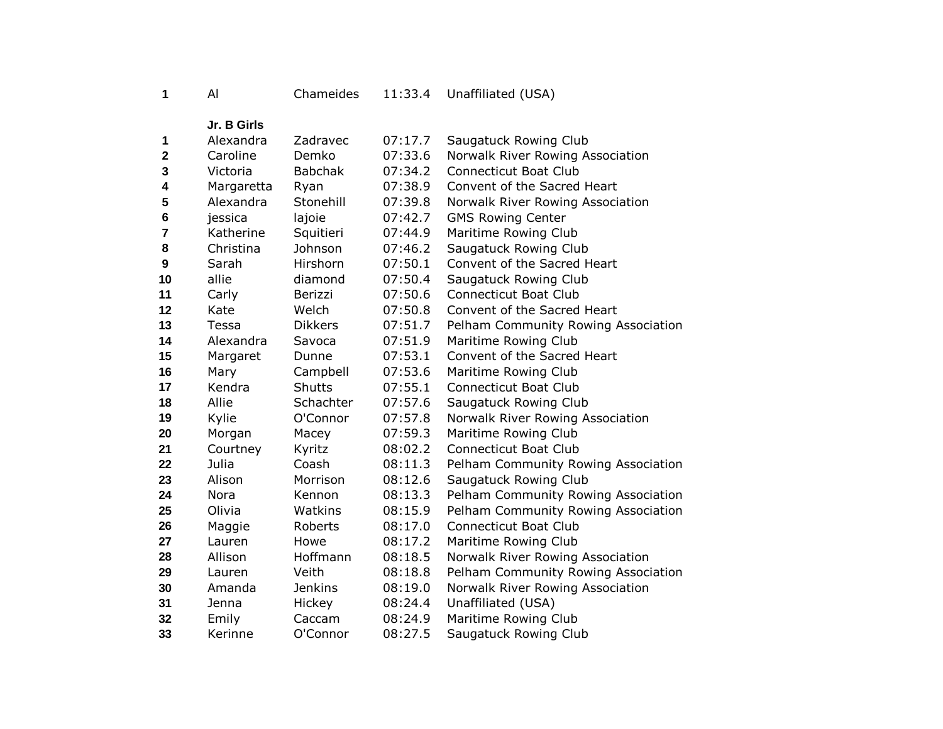| 1 | AI |
|---|----|
|---|----|

Al Chameides 11:33.4 Unaffiliated (USA)

**Jr. B Girls**

| 1              | Alexandra  | Zadravec       | 07:17.7 | Saugatuck Rowing Club               |
|----------------|------------|----------------|---------|-------------------------------------|
| $\mathbf 2$    | Caroline   | Demko          | 07:33.6 | Norwalk River Rowing Association    |
| 3              | Victoria   | <b>Babchak</b> | 07:34.2 | <b>Connecticut Boat Club</b>        |
| 4              | Margaretta | Ryan           | 07:38.9 | Convent of the Sacred Heart         |
| 5              | Alexandra  | Stonehill      | 07:39.8 | Norwalk River Rowing Association    |
| 6              | jessica    | lajoie         | 07:42.7 | <b>GMS Rowing Center</b>            |
| $\overline{7}$ | Katherine  | Squitieri      | 07:44.9 | Maritime Rowing Club                |
| 8              | Christina  | Johnson        | 07:46.2 | Saugatuck Rowing Club               |
| 9              | Sarah      | Hirshorn       | 07:50.1 | Convent of the Sacred Heart         |
| 10             | allie      | diamond        | 07:50.4 | Saugatuck Rowing Club               |
| 11             | Carly      | Berizzi        | 07:50.6 | Connecticut Boat Club               |
| 12             | Kate       | Welch          | 07:50.8 | Convent of the Sacred Heart         |
| 13             | Tessa      | <b>Dikkers</b> | 07:51.7 | Pelham Community Rowing Association |
| 14             | Alexandra  | Savoca         | 07:51.9 | Maritime Rowing Club                |
| 15             | Margaret   | Dunne          | 07:53.1 | Convent of the Sacred Heart         |
| 16             | Mary       | Campbell       | 07:53.6 | Maritime Rowing Club                |
| 17             | Kendra     | Shutts         | 07:55.1 | <b>Connecticut Boat Club</b>        |
| 18             | Allie      | Schachter      | 07:57.6 | Saugatuck Rowing Club               |
| 19             | Kylie      | O'Connor       | 07:57.8 | Norwalk River Rowing Association    |
| 20             | Morgan     | Macey          | 07:59.3 | Maritime Rowing Club                |
| 21             | Courtney   | Kyritz         | 08:02.2 | <b>Connecticut Boat Club</b>        |
| 22             | Julia      | Coash          | 08:11.3 | Pelham Community Rowing Association |
| 23             | Alison     | Morrison       | 08:12.6 | Saugatuck Rowing Club               |
| 24             | Nora       | Kennon         | 08:13.3 | Pelham Community Rowing Association |
| 25             | Olivia     | Watkins        | 08:15.9 | Pelham Community Rowing Association |
| 26             | Maggie     | Roberts        | 08:17.0 | <b>Connecticut Boat Club</b>        |
| 27             | Lauren     | Howe           | 08:17.2 | Maritime Rowing Club                |
| 28             | Allison    | Hoffmann       | 08:18.5 | Norwalk River Rowing Association    |
| 29             | Lauren     | Veith          | 08:18.8 | Pelham Community Rowing Association |
| 30             | Amanda     | <b>Jenkins</b> | 08:19.0 | Norwalk River Rowing Association    |
| 31             | Jenna      | Hickey         | 08:24.4 | Unaffiliated (USA)                  |
| 32             | Emily      | Caccam         | 08:24.9 | Maritime Rowing Club                |
| 33             | Kerinne    | O'Connor       | 08:27.5 | Saugatuck Rowing Club               |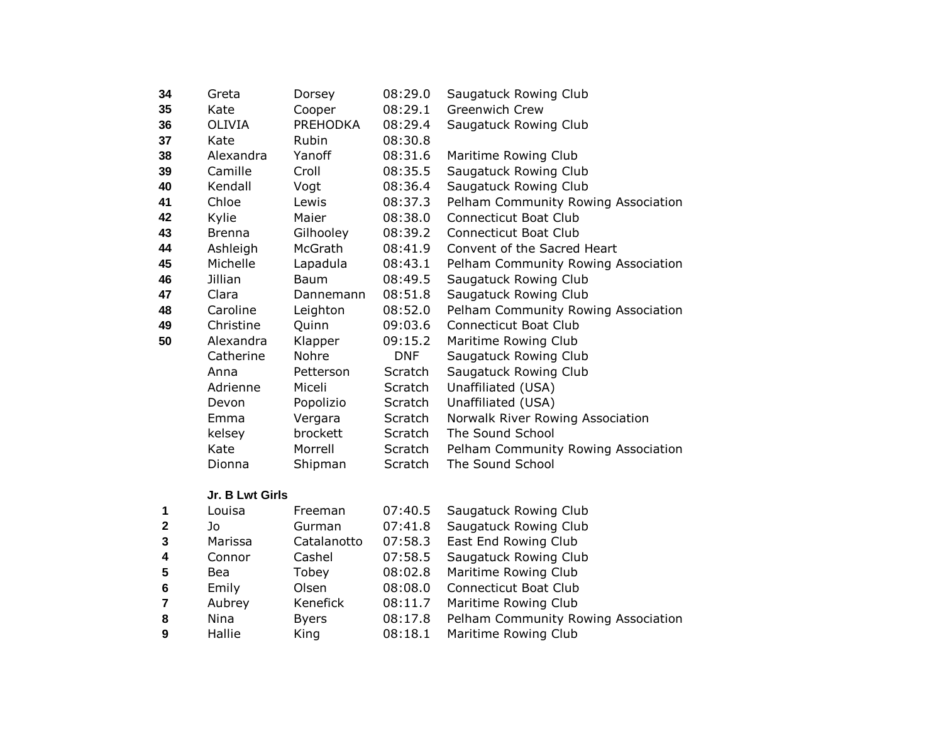| 34 | Greta         | Dorsey          | 08:29.0        | Saugatuck Rowing Club               |
|----|---------------|-----------------|----------------|-------------------------------------|
| 35 | Kate          | Cooper          | 08:29.1        | Greenwich Crew                      |
| 36 | <b>OLIVIA</b> | <b>PREHODKA</b> | 08:29.4        | Saugatuck Rowing Club               |
| 37 | Kate          | <b>Rubin</b>    | 08:30.8        |                                     |
| 38 | Alexandra     | Yanoff          | 08:31.6        | Maritime Rowing Club                |
| 39 | Camille       | Croll           | 08:35.5        | Saugatuck Rowing Club               |
| 40 | Kendall       | Vogt            | 08:36.4        | Saugatuck Rowing Club               |
| 41 | Chloe         | Lewis           | 08:37.3        | Pelham Community Rowing Association |
| 42 | Kylie         | Maier           | 08:38.0        | <b>Connecticut Boat Club</b>        |
| 43 | <b>Brenna</b> | Gilhooley       | 08:39.2        | Connecticut Boat Club               |
| 44 | Ashleigh      | McGrath         | 08:41.9        | Convent of the Sacred Heart         |
| 45 | Michelle      | Lapadula        | 08:43.1        | Pelham Community Rowing Association |
| 46 | Jillian       | <b>Baum</b>     | 08:49.5        | Saugatuck Rowing Club               |
| 47 | Clara         | Dannemann       | 08:51.8        | Saugatuck Rowing Club               |
| 48 | Caroline      | Leighton        | 08:52.0        | Pelham Community Rowing Association |
| 49 | Christine     | Quinn           | 09:03.6        | <b>Connecticut Boat Club</b>        |
| 50 | Alexandra     | Klapper         | 09:15.2        | Maritime Rowing Club                |
|    | Catherine     | Nohre           | <b>DNF</b>     | Saugatuck Rowing Club               |
|    | Anna          | Petterson       | Scratch        | Saugatuck Rowing Club               |
|    | Adrienne      | Miceli          | Scratch        | Unaffiliated (USA)                  |
|    | Devon         | Popolizio       | Scratch        | Unaffiliated (USA)                  |
|    | Emma          | Vergara         | Scratch        | Norwalk River Rowing Association    |
|    | kelsey        | brockett        | <b>Scratch</b> | The Sound School                    |
|    | Kate          | Morrell         | Scratch        | Pelham Community Rowing Association |
|    | Dionna        | Shipman         | Scratch        | The Sound School                    |

## **Jr. B Lwt Girls**

| 1            | Louisa     | Freeman      | 07:40.5 | Saugatuck Rowing Club               |
|--------------|------------|--------------|---------|-------------------------------------|
| $\mathbf{2}$ | Jo         | Gurman       | 07:41.8 | Saugatuck Rowing Club               |
| 3            | Marissa    | Catalanotto  | 07:58.3 | East End Rowing Club                |
| 4            | Connor     | Cashel       | 07:58.5 | Saugatuck Rowing Club               |
| 5            | <b>Bea</b> | Tobey        | 08:02.8 | Maritime Rowing Club                |
| 6            | Emily      | Olsen        | 08:08.0 | <b>Connecticut Boat Club</b>        |
|              | Aubrey     | Kenefick     | 08:11.7 | Maritime Rowing Club                |
| 8            | Nina       | <b>Byers</b> | 08:17.8 | Pelham Community Rowing Association |
| 9            | Hallie     | King         | 08:18.1 | Maritime Rowing Club                |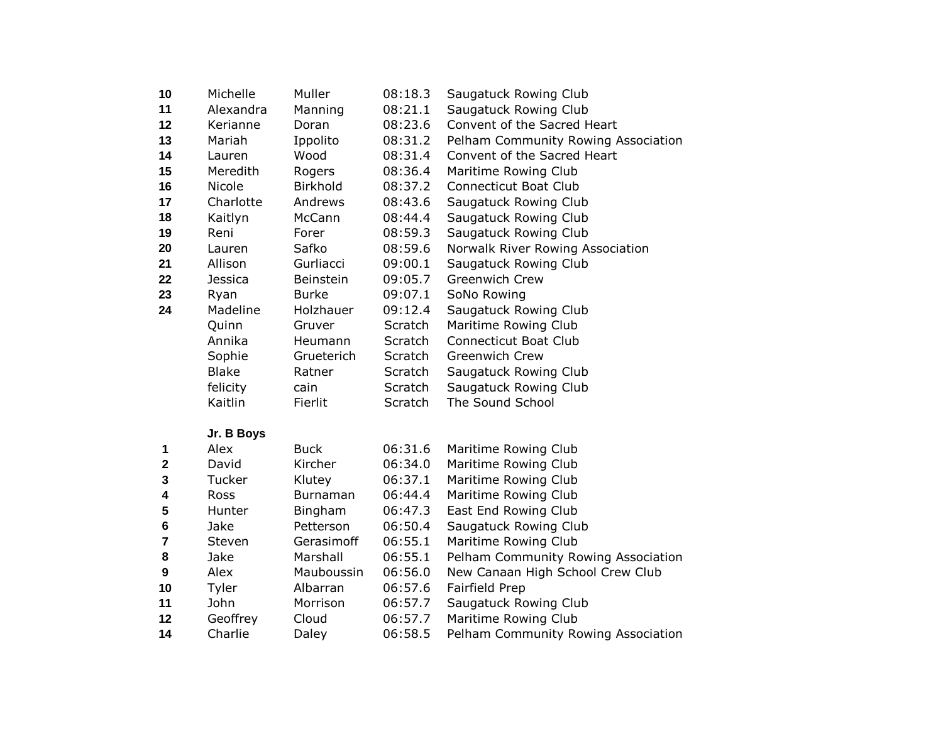| 10 | Michelle     | Muller           | 08:18.3 | Saugatuck Rowing Club               |
|----|--------------|------------------|---------|-------------------------------------|
| 11 | Alexandra    | Manning          | 08:21.1 | Saugatuck Rowing Club               |
| 12 | Kerianne     | Doran            | 08:23.6 | Convent of the Sacred Heart         |
| 13 | Mariah       | Ippolito         | 08:31.2 | Pelham Community Rowing Association |
| 14 | Lauren       | Wood             | 08:31.4 | Convent of the Sacred Heart         |
| 15 | Meredith     | Rogers           | 08:36.4 | Maritime Rowing Club                |
| 16 | Nicole       | <b>Birkhold</b>  | 08:37.2 | Connecticut Boat Club               |
| 17 | Charlotte    | Andrews          | 08:43.6 | Saugatuck Rowing Club               |
| 18 | Kaitlyn      | McCann           | 08:44.4 | Saugatuck Rowing Club               |
| 19 | Reni         | Forer            | 08:59.3 | Saugatuck Rowing Club               |
| 20 | Lauren       | Safko            | 08:59.6 | Norwalk River Rowing Association    |
| 21 | Allison      | Gurliacci        | 09:00.1 | Saugatuck Rowing Club               |
| 22 | Jessica      | <b>Beinstein</b> | 09:05.7 | Greenwich Crew                      |
| 23 | Ryan         | Burke            | 09:07.1 | SoNo Rowing                         |
| 24 | Madeline     | Holzhauer        | 09:12.4 | Saugatuck Rowing Club               |
|    | Quinn        | Gruver           | Scratch | Maritime Rowing Club                |
|    | Annika       | Heumann          | Scratch | Connecticut Boat Club               |
|    | Sophie       | Grueterich       | Scratch | Greenwich Crew                      |
|    | <b>Blake</b> | Ratner           | Scratch | Saugatuck Rowing Club               |
|    | felicity     | cain             | Scratch | Saugatuck Rowing Club               |
|    | Kaitlin      | Fierlit          | Scratch | The Sound School                    |

## **Jr. B Boys**

|              | Alex        | <b>Buck</b>    | 06:31.6 | Maritime Rowing Club                |
|--------------|-------------|----------------|---------|-------------------------------------|
| $\mathbf{2}$ | David       | Kircher        | 06:34.0 | Maritime Rowing Club                |
| 3            | Tucker      | Klutey         | 06:37.1 | Maritime Rowing Club                |
| 4            | <b>Ross</b> | Burnaman       | 06:44.4 | Maritime Rowing Club                |
| 5            | Hunter      | <b>Bingham</b> | 06:47.3 | East End Rowing Club                |
| 6            | Jake        | Petterson      | 06:50.4 | Saugatuck Rowing Club               |
| 7            | Steven      | Gerasimoff     | 06:55.1 | Maritime Rowing Club                |
| 8            | Jake        | Marshall       | 06:55.1 | Pelham Community Rowing Association |
| 9            | Alex        | Mauboussin     | 06:56.0 | New Canaan High School Crew Club    |
| 10           | Tyler       | Albarran       | 06:57.6 | Fairfield Prep                      |
| 11           | John        | Morrison       | 06:57.7 | Saugatuck Rowing Club               |
| 12           | Geoffrey    | Cloud          | 06:57.7 | Maritime Rowing Club                |
| 14           | Charlie     | Daley          | 06:58.5 | Pelham Community Rowing Association |
|              |             |                |         |                                     |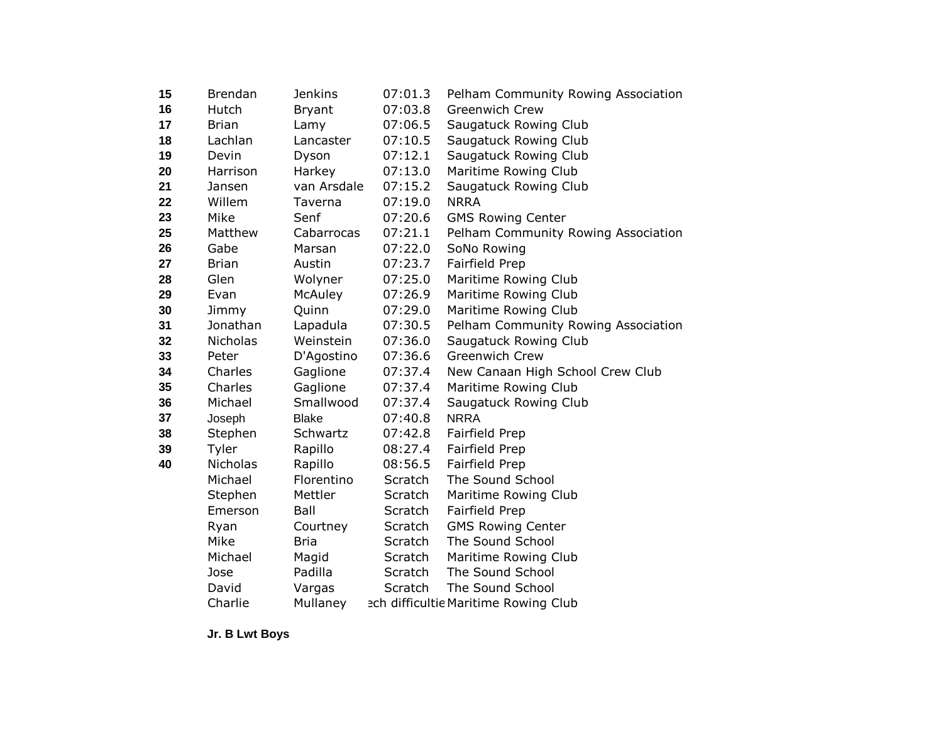| 15 | <b>Brendan</b>  | <b>Jenkins</b> | 07:01.3 | Pelham Community Rowing Association  |
|----|-----------------|----------------|---------|--------------------------------------|
| 16 | Hutch           | <b>Bryant</b>  | 07:03.8 | <b>Greenwich Crew</b>                |
| 17 | <b>Brian</b>    | Lamy           | 07:06.5 | Saugatuck Rowing Club                |
| 18 | Lachlan         | Lancaster      | 07:10.5 | Saugatuck Rowing Club                |
| 19 | Devin           | Dyson          | 07:12.1 | Saugatuck Rowing Club                |
| 20 | Harrison        | Harkey         | 07:13.0 | Maritime Rowing Club                 |
| 21 | Jansen          | van Arsdale    | 07:15.2 | Saugatuck Rowing Club                |
| 22 | Willem          | Taverna        | 07:19.0 | <b>NRRA</b>                          |
| 23 | Mike            | Senf           | 07:20.6 | <b>GMS Rowing Center</b>             |
| 25 | Matthew         | Cabarrocas     | 07:21.1 | Pelham Community Rowing Association  |
| 26 | Gabe            | Marsan         | 07:22.0 | SoNo Rowing                          |
| 27 | <b>Brian</b>    | Austin         | 07:23.7 | Fairfield Prep                       |
| 28 | Glen            | Wolyner        | 07:25.0 | Maritime Rowing Club                 |
| 29 | Evan            | McAuley        | 07:26.9 | Maritime Rowing Club                 |
| 30 | Jimmy           | Quinn          | 07:29.0 | Maritime Rowing Club                 |
| 31 | Jonathan        | Lapadula       | 07:30.5 | Pelham Community Rowing Association  |
| 32 | <b>Nicholas</b> | Weinstein      | 07:36.0 | Saugatuck Rowing Club                |
| 33 | Peter           | D'Agostino     | 07:36.6 | Greenwich Crew                       |
| 34 | Charles         | Gaglione       | 07:37.4 | New Canaan High School Crew Club     |
| 35 | Charles         | Gaglione       | 07:37.4 | Maritime Rowing Club                 |
| 36 | Michael         | Smallwood      | 07:37.4 | Saugatuck Rowing Club                |
| 37 | Joseph          | <b>Blake</b>   | 07:40.8 | <b>NRRA</b>                          |
| 38 | Stephen         | Schwartz       | 07:42.8 | Fairfield Prep                       |
| 39 | Tyler           | Rapillo        | 08:27.4 | Fairfield Prep                       |
| 40 | <b>Nicholas</b> | Rapillo        | 08:56.5 | Fairfield Prep                       |
|    | Michael         | Florentino     | Scratch | The Sound School                     |
|    | Stephen         | Mettler        | Scratch | Maritime Rowing Club                 |
|    | Emerson         | Ball           | Scratch | Fairfield Prep                       |
|    | Ryan            | Courtney       | Scratch | <b>GMS Rowing Center</b>             |
|    | Mike            | <b>Bria</b>    | Scratch | The Sound School                     |
|    | Michael         | Magid          | Scratch | Maritime Rowing Club                 |
|    | Jose            | Padilla        | Scratch | The Sound School                     |
|    | David           | Vargas         | Scratch | The Sound School                     |
|    | Charlie         | Mullaney       |         | ech difficultie Maritime Rowing Club |

**Jr. B Lwt Boys**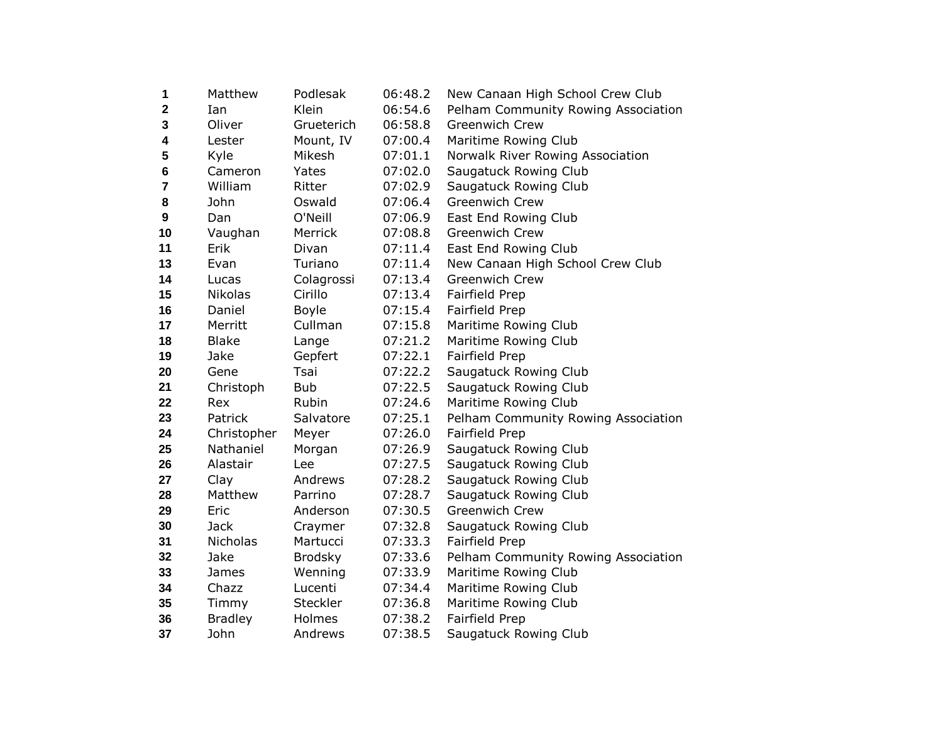| 1              | Matthew         | Podlesak       | 06:48.2 | New Canaan High School Crew Club    |
|----------------|-----------------|----------------|---------|-------------------------------------|
| $\mathbf 2$    | Ian.            | Klein          | 06:54.6 | Pelham Community Rowing Association |
| 3              | Oliver          | Grueterich     | 06:58.8 | <b>Greenwich Crew</b>               |
| 4              | Lester          | Mount, IV      | 07:00.4 | Maritime Rowing Club                |
| 5              | Kyle            | Mikesh         | 07:01.1 | Norwalk River Rowing Association    |
| 6              | Cameron         | Yates          | 07:02.0 | Saugatuck Rowing Club               |
| $\overline{7}$ | William         | Ritter         | 07:02.9 | Saugatuck Rowing Club               |
| 8              | John            | Oswald         | 07:06.4 | <b>Greenwich Crew</b>               |
| 9              | Dan             | O'Neill        | 07:06.9 | East End Rowing Club                |
| 10             | Vaughan         | <b>Merrick</b> | 07:08.8 | Greenwich Crew                      |
| 11             | Erik            | Divan          | 07:11.4 | East End Rowing Club                |
| 13             | Evan            | Turiano        | 07:11.4 | New Canaan High School Crew Club    |
| 14             | Lucas           | Colagrossi     | 07:13.4 | <b>Greenwich Crew</b>               |
| 15             | <b>Nikolas</b>  | Cirillo        | 07:13.4 | Fairfield Prep                      |
| 16             | Daniel          | Boyle          | 07:15.4 | Fairfield Prep                      |
| 17             | Merritt         | Cullman        | 07:15.8 | Maritime Rowing Club                |
| 18             | <b>Blake</b>    | Lange          | 07:21.2 | Maritime Rowing Club                |
| 19             | Jake            | Gepfert        | 07:22.1 | Fairfield Prep                      |
| 20             | Gene            | Tsai           | 07:22.2 | Saugatuck Rowing Club               |
| 21             | Christoph       | <b>Bub</b>     | 07:22.5 | Saugatuck Rowing Club               |
| 22             | Rex             | Rubin          | 07:24.6 | Maritime Rowing Club                |
| 23             | Patrick         | Salvatore      | 07:25.1 | Pelham Community Rowing Association |
| 24             | Christopher     | Meyer          | 07:26.0 | Fairfield Prep                      |
| 25             | Nathaniel       | Morgan         | 07:26.9 | Saugatuck Rowing Club               |
| 26             | Alastair        | Lee            | 07:27.5 | Saugatuck Rowing Club               |
| 27             | Clay            | Andrews        | 07:28.2 | Saugatuck Rowing Club               |
| 28             | Matthew         | Parrino        | 07:28.7 | Saugatuck Rowing Club               |
| 29             | Eric            | Anderson       | 07:30.5 | Greenwich Crew                      |
| 30             | <b>Jack</b>     | Craymer        | 07:32.8 | Saugatuck Rowing Club               |
| 31             | <b>Nicholas</b> | Martucci       | 07:33.3 | Fairfield Prep                      |
| 32             | Jake            | <b>Brodsky</b> | 07:33.6 | Pelham Community Rowing Association |
| 33             | James           | Wenning        | 07:33.9 | Maritime Rowing Club                |
| 34             | Chazz           | Lucenti        | 07:34.4 | Maritime Rowing Club                |
| 35             | Timmy           | Steckler       | 07:36.8 | Maritime Rowing Club                |
| 36             | <b>Bradley</b>  | Holmes         | 07:38.2 | Fairfield Prep                      |
| 37             | John            | Andrews        | 07:38.5 | Saugatuck Rowing Club               |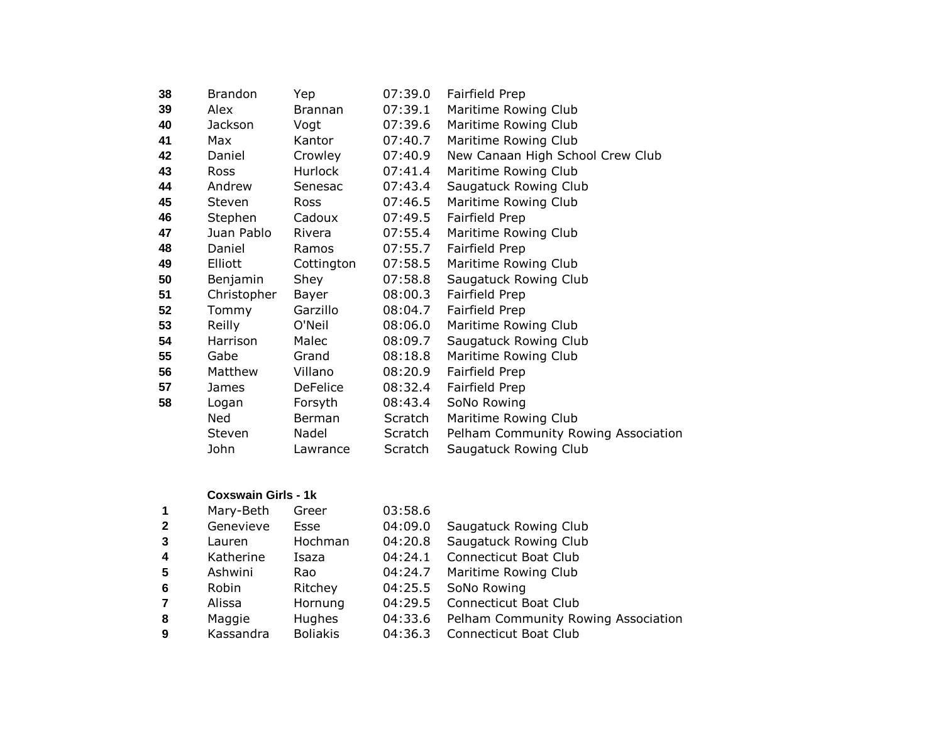| 38 | <b>Brandon</b> | Yep             | 07:39.0 | Fairfield Prep                      |
|----|----------------|-----------------|---------|-------------------------------------|
| 39 | Alex           | <b>Brannan</b>  | 07:39.1 | Maritime Rowing Club                |
| 40 | Jackson        | Vogt            | 07:39.6 | Maritime Rowing Club                |
| 41 | Max            | Kantor          | 07:40.7 | Maritime Rowing Club                |
| 42 | Daniel         | Crowley         | 07:40.9 | New Canaan High School Crew Club    |
| 43 | <b>Ross</b>    | Hurlock         | 07:41.4 | Maritime Rowing Club                |
| 44 | Andrew         | Senesac         | 07:43.4 | Saugatuck Rowing Club               |
| 45 | <b>Steven</b>  | <b>Ross</b>     | 07:46.5 | Maritime Rowing Club                |
| 46 | Stephen        | Cadoux          | 07:49.5 | Fairfield Prep                      |
| 47 | Juan Pablo     | Rivera          | 07:55.4 | Maritime Rowing Club                |
| 48 | Daniel         | Ramos           | 07:55.7 | Fairfield Prep                      |
| 49 | Elliott        | Cottington      | 07:58.5 | Maritime Rowing Club                |
| 50 | Benjamin       | Shey            | 07:58.8 | Saugatuck Rowing Club               |
| 51 | Christopher    | Bayer           | 08:00.3 | Fairfield Prep                      |
| 52 | Tommy          | Garzillo        | 08:04.7 | Fairfield Prep                      |
| 53 | Reilly         | O'Neil          | 08:06.0 | Maritime Rowing Club                |
| 54 | Harrison       | Malec           | 08:09.7 | Saugatuck Rowing Club               |
| 55 | Gabe           | Grand           | 08:18.8 | Maritime Rowing Club                |
| 56 | Matthew        | Villano         | 08:20.9 | Fairfield Prep                      |
| 57 | James          | <b>DeFelice</b> | 08:32.4 | Fairfield Prep                      |
| 58 | Logan          | Forsyth         | 08:43.4 | SoNo Rowing                         |
|    | Ned            | Berman          | Scratch | Maritime Rowing Club                |
|    | <b>Steven</b>  | Nadel           | Scratch | Pelham Community Rowing Association |
|    | John           | Lawrance        | Scratch | Saugatuck Rowing Club               |
|    |                |                 |         |                                     |

## **Coxswain Girls - 1k**

| 1                       | Mary-Beth | Greer           | 03:58.6 |                                     |
|-------------------------|-----------|-----------------|---------|-------------------------------------|
| $\overline{2}$          | Genevieve | Esse            | 04:09.0 | Saugatuck Rowing Club               |
| $\mathbf{3}$            | Lauren    | Hochman         | 04:20.8 | Saugatuck Rowing Club               |
| $\overline{\mathbf{4}}$ | Katherine | Isaza           | 04:24.1 | <b>Connecticut Boat Club</b>        |
| -5                      | Ashwini   | Rao             | 04:24.7 | Maritime Rowing Club                |
| 6                       | Robin     | Ritchey         | 04:25.5 | SoNo Rowing                         |
| $\overline{7}$          | Alissa    | Hornung         | 04:29.5 | <b>Connecticut Boat Club</b>        |
| 8                       | Maggie    | <b>Hughes</b>   | 04:33.6 | Pelham Community Rowing Association |
| 9                       | Kassandra | <b>Boliakis</b> | 04:36.3 | <b>Connecticut Boat Club</b>        |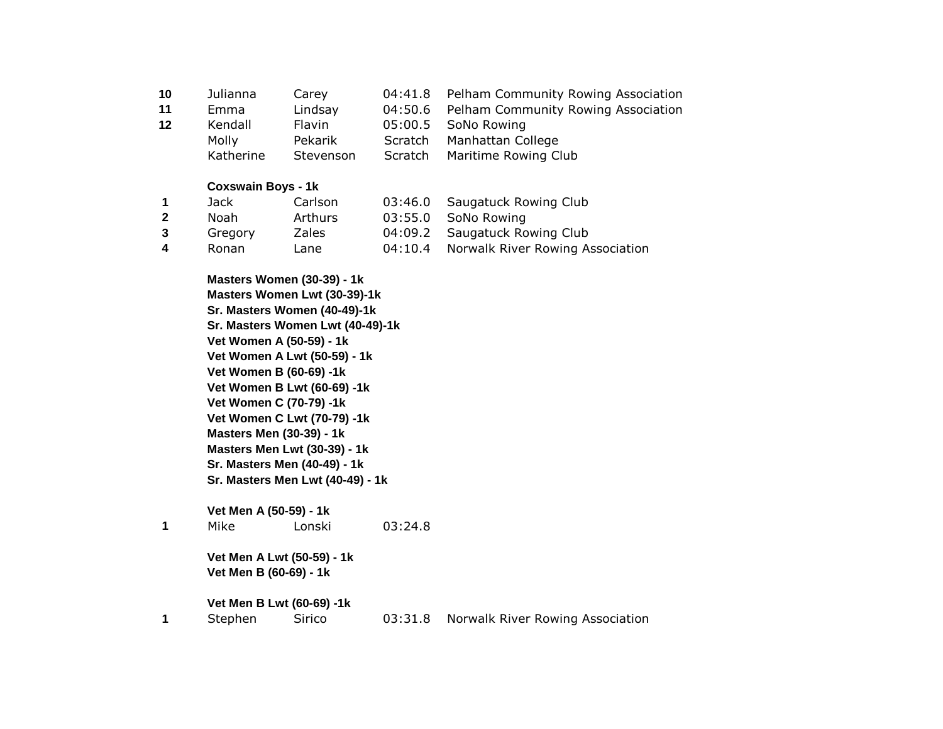| Julianna  | Carev     | 04:41.8 | Pelham Community Rowing Association        |
|-----------|-----------|---------|--------------------------------------------|
| Emma      | Lindsay   | 04:50.6 | <b>Pelham Community Rowing Association</b> |
| Kendall   | Flavin    |         | 05:00.5 SoNo Rowing                        |
| Molly     | Pekarik   | Scratch | Manhattan College                          |
| Katherine | Stevenson | Scratch | Maritime Rowing Club                       |
|           |           |         |                                            |

# **Coxswain Boys - 1k**

|                | Jack    | Carlson | 03:46.0 Saugatuck Rowing Club            |
|----------------|---------|---------|------------------------------------------|
| $\overline{2}$ | Noah    | Arthurs | 03:55.0 SoNo Rowing                      |
| $\mathbf{3}$   | Gregory | Zales   | 04:09.2 Saugatuck Rowing Club            |
| $\mathbf 4$    | Ronan   | Lane    | 04:10.4 Norwalk River Rowing Association |

|   |      | Masters Women (30-39) - 1k       |         |  |
|---|------|----------------------------------|---------|--|
|   |      | Masters Women Lwt (30-39)-1k     |         |  |
|   |      | Sr. Masters Women (40-49)-1k     |         |  |
|   |      | Sr. Masters Women Lwt (40-49)-1k |         |  |
|   |      | Vet Women A (50-59) - 1k         |         |  |
|   |      | Vet Women A Lwt (50-59) - 1k     |         |  |
|   |      | Vet Women B (60-69) -1k          |         |  |
|   |      | Vet Women B Lwt (60-69) -1k      |         |  |
|   |      | Vet Women C (70-79) -1k          |         |  |
|   |      | Vet Women C Lwt (70-79) -1k      |         |  |
|   |      | <b>Masters Men (30-39) - 1k</b>  |         |  |
|   |      | Masters Men Lwt (30-39) - 1k     |         |  |
|   |      | Sr. Masters Men (40-49) - 1k     |         |  |
|   |      | Sr. Masters Men Lwt (40-49) - 1k |         |  |
|   |      | Vet Men A (50-59) - 1k           |         |  |
| 1 | Mike | Lonski                           | 03:24.8 |  |
|   |      | Vet Men A Lwt (50-59) - 1k       |         |  |
|   |      | \\B_R\\QQ\QQ\\\\\\               |         |  |

**Vet Men B (60-69) - 1k** 

**Vet Men B Lwt (60-69) -1k 1** Stephen Sirico 03:31.8 Norwalk River Rowing Association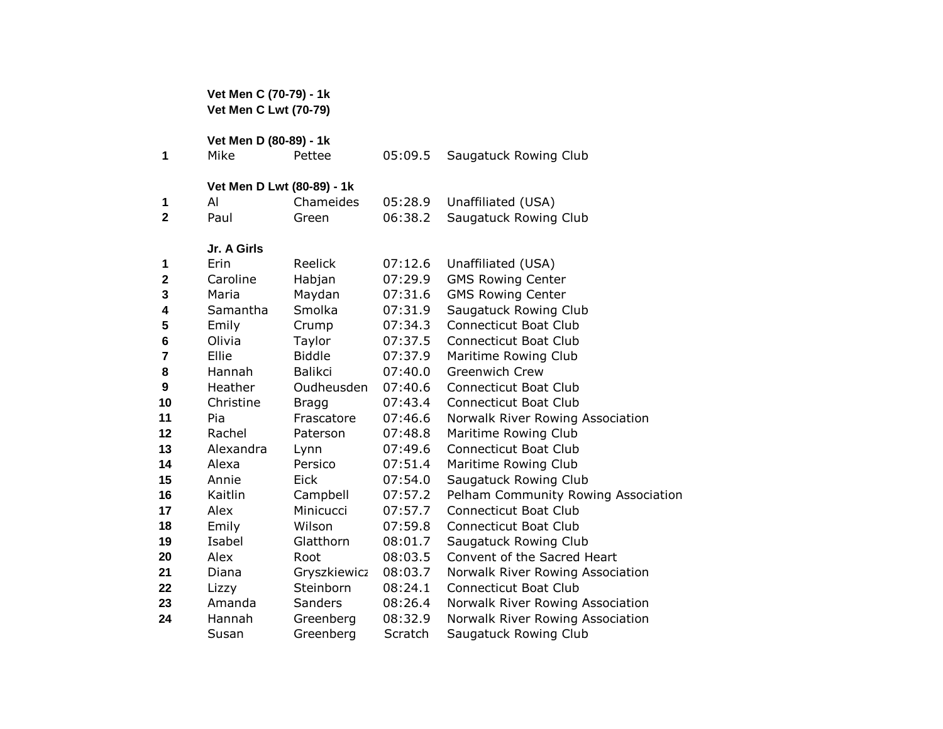**Vet Men C (70-79) - 1k Vet Men C Lwt (70-79) Vet Men D (80-89) - 1k**  Mike Pettee 05:09.5 Saugatuck Rowing Club **Vet Men D Lwt (80-89) - 1k**  Al Chameides 05:28.9 Unaffiliated (USA) Paul Green 06:38.2 Saugatuck Rowing Club **Jr. A Girls** Erin Reelick 07:12.6 Unaffiliated (USA) Caroline Habjan 07:29.9 GMS Rowing Center Maria Maydan 07:31.6 GMS Rowing Center Samantha Smolka 07:31.9 Saugatuck Rowing Club Emily Crump 07:34.3 Connecticut Boat Club Olivia Taylor 07:37.5 Connecticut Boat Club Ellie Biddle 07:37.9 Maritime Rowing Club Hannah Balikci 07:40.0 Greenwich Crew Heather Oudheusden 07:40.6 Connecticut Boat Club Christine Bragg 07:43.4 Connecticut Boat Club Pia Frascatore 07:46.6 Norwalk River Rowing Association Rachel Paterson 07:48.8 Maritime Rowing Club Alexandra Lynn 07:49.6 Connecticut Boat Club Alexa Persico 07:51.4 Maritime Rowing Club Annie Eick 07:54.0 Saugatuck Rowing Club Kaitlin Campbell 07:57.2 Pelham Community Rowing Association Alex Minicucci 07:57.7 Connecticut Boat Club Emily Wilson 07:59.8 Connecticut Boat Club Isabel Glatthorn 08:01.7 Saugatuck Rowing Club Alex Root 08:03.5 Convent of the Sacred Heart Diana Gryszkiewicz 08:03.7 Norwalk River Rowing Association Lizzy Steinborn 08:24.1 Connecticut Boat Club Amanda Sanders 08:26.4 Norwalk River Rowing Association Hannah Greenberg 08:32.9 Norwalk River Rowing Association

Susan Greenberg Scratch Saugatuck Rowing Club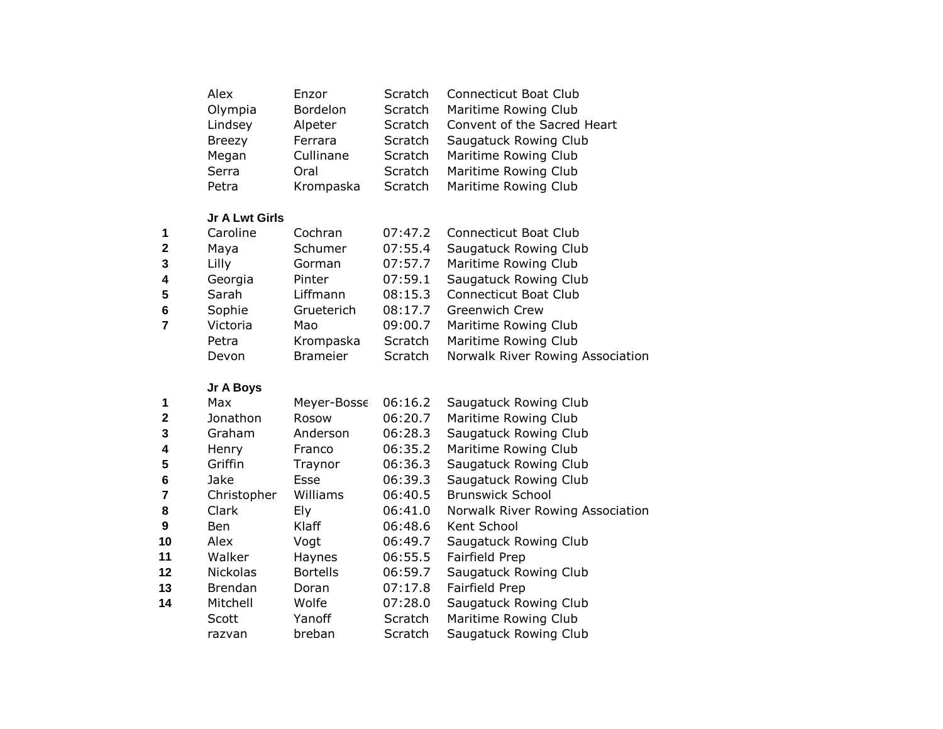| Alex          | Enzor     | <b>Scratch</b> | <b>Connecticut Boat Club</b> |
|---------------|-----------|----------------|------------------------------|
| Olympia       | Bordelon  | Scratch        | Maritime Rowing Club         |
| Lindsey       | Alpeter   | Scratch        | Convent of the Sacred Heart  |
| <b>Breezy</b> | Ferrara   | Scratch        | Saugatuck Rowing Club        |
| Megan         | Cullinane | Scratch        | Maritime Rowing Club         |
| Serra         | Oral      | Scratch        | Maritime Rowing Club         |
| Petra         | Krompaska | Scratch        | Maritime Rowing Club         |

# **Jr A Lwt Girls**

| $\mathbf 1$    | Caroline | Cochran         | 07:47.2 | Connecticut Boat Club            |
|----------------|----------|-----------------|---------|----------------------------------|
| $\overline{2}$ | Maya     | Schumer         | 07:55.4 | Saugatuck Rowing Club            |
| $\mathbf{3}$   | Lilly    | Gorman          | 07:57.7 | Maritime Rowing Club             |
| $\overline{4}$ | Georgia  | Pinter          | 07:59.1 | Saugatuck Rowing Club            |
| 5              | Sarah    | Liffmann        | 08:15.3 | <b>Connecticut Boat Club</b>     |
| 6              | Sophie   | Grueterich      | 08:17.7 | <b>Greenwich Crew</b>            |
| 7              | Victoria | Mao             | 09:00.7 | Maritime Rowing Club             |
|                | Petra    | Krompaska       | Scratch | Maritime Rowing Club             |
|                | Devon    | <b>Brameier</b> | Scratch | Norwalk River Rowing Association |
|                |          |                 |         |                                  |

# **Jr A Boys**

| 1              | Max             | Meyer-Bosse     | 06:16.2 | Saugatuck Rowing Club            |
|----------------|-----------------|-----------------|---------|----------------------------------|
| $\mathbf{2}$   | Jonathon        | Rosow           | 06:20.7 | Maritime Rowing Club             |
| 3              | Graham          | Anderson        | 06:28.3 | Saugatuck Rowing Club            |
| 4              | Henry           | Franco          | 06:35.2 | Maritime Rowing Club             |
| $5\phantom{1}$ | Griffin         | Traynor         | 06:36.3 | Saugatuck Rowing Club            |
| 6              | Jake            | Esse            | 06:39.3 | Saugatuck Rowing Club            |
| 7              | Christopher     | Williams        | 06:40.5 | <b>Brunswick School</b>          |
| 8              | Clark           | Ely             | 06:41.0 | Norwalk River Rowing Association |
| 9              | Ben             | Klaff           | 06:48.6 | Kent School                      |
| 10             | Alex            | Vogt            | 06:49.7 | Saugatuck Rowing Club            |
| 11             | Walker          | Haynes          | 06:55.5 | Fairfield Prep                   |
| 12             | <b>Nickolas</b> | <b>Bortells</b> | 06:59.7 | Saugatuck Rowing Club            |
| 13             | <b>Brendan</b>  | Doran           | 07:17.8 | Fairfield Prep                   |
| 14             | Mitchell        | Wolfe           | 07:28.0 | Saugatuck Rowing Club            |
|                | Scott           | Yanoff          | Scratch | Maritime Rowing Club             |
|                | razvan          | breban          | Scratch | Saugatuck Rowing Club            |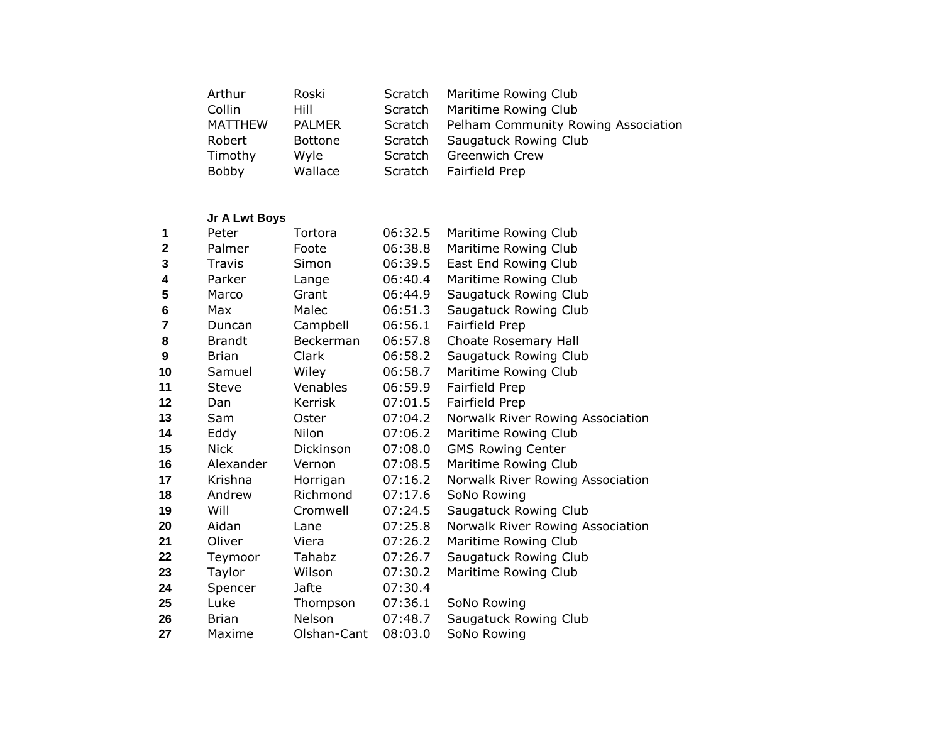| Arthur         | Roski          | Scratch        | Maritime Rowing Club                        |
|----------------|----------------|----------------|---------------------------------------------|
| Collin         | Hill           | Scratch        | Maritime Rowing Club                        |
| <b>MATTHEW</b> | <b>PALMER</b>  |                | Scratch Pelham Community Rowing Association |
| Robert         | <b>Bottone</b> | Scratch        | Saugatuck Rowing Club                       |
| Timothy        | Wyle           | <b>Scratch</b> | Greenwich Crew                              |
| Bobby          | Wallace        | Scratch        | Fairfield Prep                              |

## **Jr A Lwt Boys**

| 1                       | Peter         | Tortora          | 06:32.5 | Maritime Rowing Club             |
|-------------------------|---------------|------------------|---------|----------------------------------|
| $\mathbf{2}$            | Palmer        | Foote            | 06:38.8 | Maritime Rowing Club             |
| 3                       | Travis        | Simon            | 06:39.5 | East End Rowing Club             |
| 4                       | Parker        | Lange            | 06:40.4 | Maritime Rowing Club             |
| 5                       | Marco         | Grant            | 06:44.9 | Saugatuck Rowing Club            |
| 6                       | Max           | Malec            | 06:51.3 | Saugatuck Rowing Club            |
| $\overline{\mathbf{r}}$ | Duncan        | Campbell         | 06:56.1 | Fairfield Prep                   |
| 8                       | <b>Brandt</b> | Beckerman        | 06:57.8 | Choate Rosemary Hall             |
| 9                       | <b>Brian</b>  | Clark            | 06:58.2 | Saugatuck Rowing Club            |
| 10                      | Samuel        | Wiley            | 06:58.7 | Maritime Rowing Club             |
| 11                      | Steve         | Venables         | 06:59.9 | Fairfield Prep                   |
| 12                      | Dan           | <b>Kerrisk</b>   | 07:01.5 | Fairfield Prep                   |
| 13                      | Sam           | Oster            | 07:04.2 | Norwalk River Rowing Association |
| 14                      | Eddy          | Nilon            | 07:06.2 | Maritime Rowing Club             |
| 15                      | <b>Nick</b>   | <b>Dickinson</b> | 07:08.0 | <b>GMS Rowing Center</b>         |
| 16                      | Alexander     | Vernon           | 07:08.5 | Maritime Rowing Club             |
| 17                      | Krishna       | Horrigan         | 07:16.2 | Norwalk River Rowing Association |
| 18                      | Andrew        | Richmond         | 07:17.6 | SoNo Rowing                      |
| 19                      | Will          | Cromwell         | 07:24.5 | Saugatuck Rowing Club            |
| 20                      | Aidan         | Lane             | 07:25.8 | Norwalk River Rowing Association |
| 21                      | Oliver        | Viera            | 07:26.2 | Maritime Rowing Club             |
| 22                      | Teymoor       | Tahabz           | 07:26.7 | Saugatuck Rowing Club            |
| 23                      | Taylor        | Wilson           | 07:30.2 | Maritime Rowing Club             |
| 24                      | Spencer       | Jafte            | 07:30.4 |                                  |
| 25                      | Luke          | Thompson         | 07:36.1 | SoNo Rowing                      |
| 26                      | <b>Brian</b>  | Nelson           | 07:48.7 | Saugatuck Rowing Club            |
| 27                      | Maxime        | Olshan-Cant      | 08:03.0 | SoNo Rowing                      |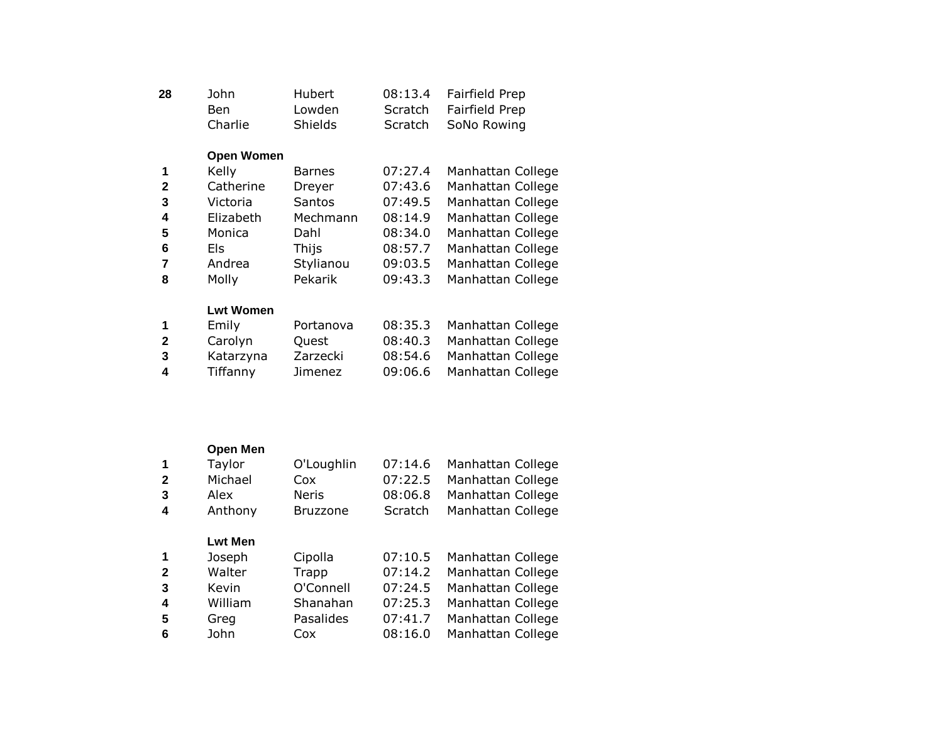| 28 | John    | Hubert         | 08:13.4 Fairfield Prep |
|----|---------|----------------|------------------------|
|    | Ben.    | Lowden         | Scratch Fairfield Prep |
|    | Charlie | <b>Shields</b> | Scratch SoNo Rowing    |

## **Open Women**

|              | Kelly     | <b>Barnes</b> | 07:27.4 | Manhattan College |
|--------------|-----------|---------------|---------|-------------------|
| $\mathbf{2}$ | Catherine | Dreyer        | 07:43.6 | Manhattan College |
| 3            | Victoria  | Santos        | 07:49.5 | Manhattan College |
| 4            | Elizabeth | Mechmann      | 08:14.9 | Manhattan College |
| 5            | Monica    | Dahl          | 08:34.0 | Manhattan College |
| 6            | Els       | Thijs         | 08:57.7 | Manhattan College |
| 7            | Andrea    | Stylianou     | 09:03.5 | Manhattan College |
| 8            | Molly     | Pekarik       | 09:43.3 | Manhattan College |
|              |           |               |         |                   |

#### **Lwt Women**

| $\overline{\mathbf{1}}$ | Emily     | Portanova | 08:35.3 | Manhattan College |
|-------------------------|-----------|-----------|---------|-------------------|
| $\mathbf{2}$            | Carolyn   | Ouest     | 08:40.3 | Manhattan College |
| - 3                     | Katarzyna | Zarzecki  | 08:54.6 | Manhattan College |
| -4                      | Tiffanny  | Jimenez   | 09:06.6 | Manhattan College |

## **Open Men**

| $\overline{\mathbf{1}}$ | Taylor  | O'Loughlin      | 07:14.6 | Manhattan College |
|-------------------------|---------|-----------------|---------|-------------------|
| - 2                     | Michael | Cox             | 07:22.5 | Manhattan College |
| - 3                     | Alex    | <b>Neris</b>    | 08:06.8 | Manhattan College |
| -4                      | Anthony | <b>Bruzzone</b> | Scratch | Manhattan College |

## **Lwt Men**

|    | Joseph  | Cipolla   | 07:10.5 | Manhattan College |
|----|---------|-----------|---------|-------------------|
| -2 | Walter  | Trapp     | 07:14.2 | Manhattan College |
| -3 | Kevin   | O'Connell | 07:24.5 | Manhattan College |
| -4 | William | Shanahan  | 07:25.3 | Manhattan College |
| -5 | Greg    | Pasalides | 07:41.7 | Manhattan College |
| 6  | John    | Cox       | 08:16.0 | Manhattan College |